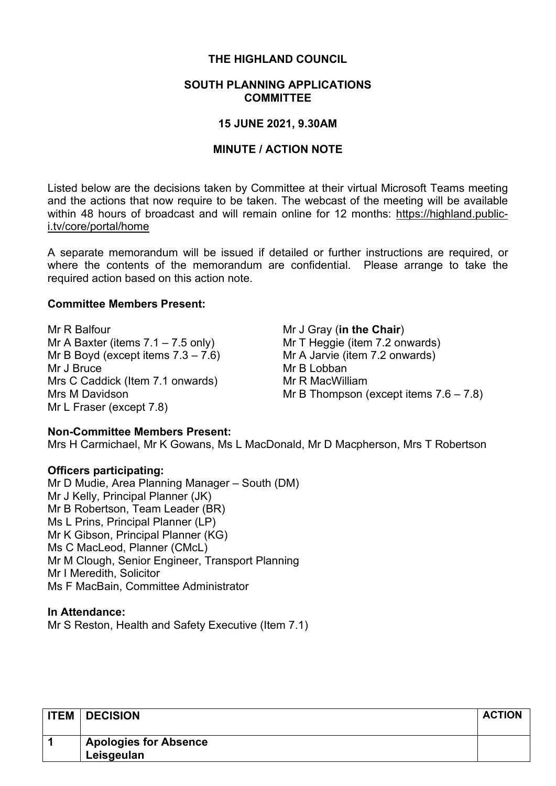# **THE HIGHLAND COUNCIL**

#### **SOUTH PLANNING APPLICATIONS COMMITTEE**

#### **15 JUNE 2021, 9.30AM**

## **MINUTE / ACTION NOTE**

Listed below are the decisions taken by Committee at their virtual Microsoft Teams meeting and the actions that now require to be taken. The webcast of the meeting will be available within 48 hours of broadcast and will remain online for 12 months: [https://highland.public](https://highland.public-i.tv/core/portal/home)[i.tv/core/portal/home](https://highland.public-i.tv/core/portal/home)

A separate memorandum will be issued if detailed or further instructions are required, or where the contents of the memorandum are confidential. Please arrange to take the required action based on this action note.

### **Committee Members Present:**

Mr R Balfour Mr A Baxter (items 7.1 – 7.5 only) Mr B Boyd (except items  $7.3 - 7.6$ ) Mr J Bruce Mrs C Caddick (Item 7.1 onwards) Mrs M Davidson Mr L Fraser (except 7.8)

Mr J Gray (**in the Chair**) Mr T Heggie (item 7.2 onwards) Mr A Jarvie (item 7.2 onwards) Mr B Lobban Mr R MacWilliam Mr B Thompson (except items 7.6 – 7.8)

#### **Non-Committee Members Present:**

Mrs H Carmichael, Mr K Gowans, Ms L MacDonald, Mr D Macpherson, Mrs T Robertson

#### **Officers participating:**

Mr D Mudie, Area Planning Manager – South (DM) Mr J Kelly, Principal Planner (JK) Mr B Robertson, Team Leader (BR) Ms L Prins, Principal Planner (LP) Mr K Gibson, Principal Planner (KG) Ms C MacLeod, Planner (CMcL) Mr M Clough, Senior Engineer, Transport Planning Mr I Meredith, Solicitor Ms F MacBain, Committee Administrator

#### **In Attendance:**

Mr S Reston, Health and Safety Executive (Item 7.1)

| <b>ITEM</b> | <b>DECISION</b>                            | <b>ACTION</b> |
|-------------|--------------------------------------------|---------------|
|             | <b>Apologies for Absence</b><br>Leisgeulan |               |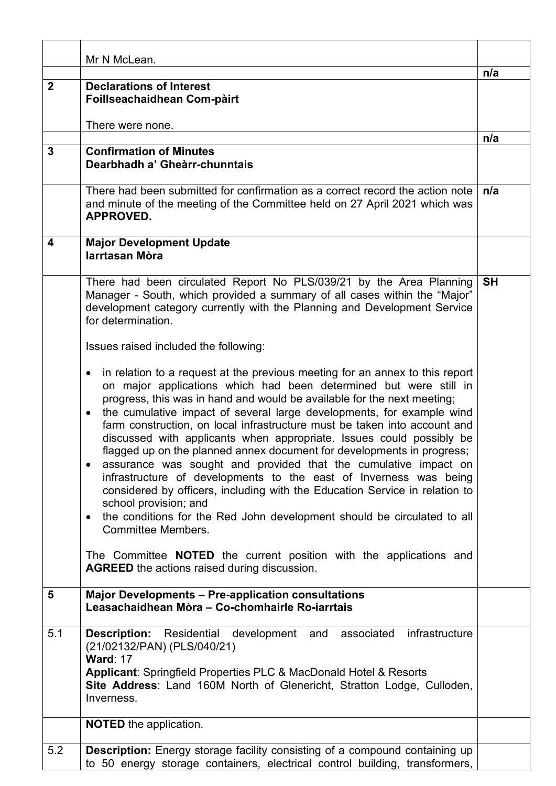|              | Mr N McLean.                                                                                                                                                                                                                                                                                                                                                                                                                                                                                                                                                                                                                                                                                                                                                                                                                                                                                                                                                                                                                                                            |           |
|--------------|-------------------------------------------------------------------------------------------------------------------------------------------------------------------------------------------------------------------------------------------------------------------------------------------------------------------------------------------------------------------------------------------------------------------------------------------------------------------------------------------------------------------------------------------------------------------------------------------------------------------------------------------------------------------------------------------------------------------------------------------------------------------------------------------------------------------------------------------------------------------------------------------------------------------------------------------------------------------------------------------------------------------------------------------------------------------------|-----------|
|              |                                                                                                                                                                                                                                                                                                                                                                                                                                                                                                                                                                                                                                                                                                                                                                                                                                                                                                                                                                                                                                                                         | n/a       |
| $\mathbf{2}$ | <b>Declarations of Interest</b><br>Foillseachaidhean Com-pàirt<br>There were none.                                                                                                                                                                                                                                                                                                                                                                                                                                                                                                                                                                                                                                                                                                                                                                                                                                                                                                                                                                                      |           |
|              |                                                                                                                                                                                                                                                                                                                                                                                                                                                                                                                                                                                                                                                                                                                                                                                                                                                                                                                                                                                                                                                                         | n/a       |
| 3            | <b>Confirmation of Minutes</b><br>Dearbhadh a' Gheàrr-chunntais                                                                                                                                                                                                                                                                                                                                                                                                                                                                                                                                                                                                                                                                                                                                                                                                                                                                                                                                                                                                         |           |
|              | There had been submitted for confirmation as a correct record the action note<br>and minute of the meeting of the Committee held on 27 April 2021 which was<br><b>APPROVED.</b>                                                                                                                                                                                                                                                                                                                                                                                                                                                                                                                                                                                                                                                                                                                                                                                                                                                                                         | n/a       |
| 4            | <b>Major Development Update</b><br>larrtasan Mòra                                                                                                                                                                                                                                                                                                                                                                                                                                                                                                                                                                                                                                                                                                                                                                                                                                                                                                                                                                                                                       |           |
|              | There had been circulated Report No PLS/039/21 by the Area Planning<br>Manager - South, which provided a summary of all cases within the "Major"<br>development category currently with the Planning and Development Service<br>for determination.<br>Issues raised included the following:                                                                                                                                                                                                                                                                                                                                                                                                                                                                                                                                                                                                                                                                                                                                                                             | <b>SH</b> |
|              | in relation to a request at the previous meeting for an annex to this report<br>$\bullet$<br>on major applications which had been determined but were still in<br>progress, this was in hand and would be available for the next meeting;<br>the cumulative impact of several large developments, for example wind<br>$\bullet$<br>farm construction, on local infrastructure must be taken into account and<br>discussed with applicants when appropriate. Issues could possibly be<br>flagged up on the planned annex document for developments in progress;<br>assurance was sought and provided that the cumulative impact on<br>infrastructure of developments to the east of Inverness was being<br>considered by officers, including with the Education Service in relation to<br>school provision; and<br>the conditions for the Red John development should be circulated to all<br>$\bullet$<br><b>Committee Members.</b><br>The Committee <b>NOTED</b> the current position with the applications and<br><b>AGREED</b> the actions raised during discussion. |           |
| 5            | <b>Major Developments - Pre-application consultations</b><br>Leasachaidhean Mòra - Co-chomhairle Ro-iarrtais                                                                                                                                                                                                                                                                                                                                                                                                                                                                                                                                                                                                                                                                                                                                                                                                                                                                                                                                                            |           |
| 5.1          | <b>Description:</b> Residential development<br>infrastructure<br>and<br>associated<br>(21/02132/PAN) (PLS/040/21)<br><b>Ward: 17</b><br>Applicant: Springfield Properties PLC & MacDonald Hotel & Resorts<br>Site Address: Land 160M North of Glenericht, Stratton Lodge, Culloden,<br>Inverness.                                                                                                                                                                                                                                                                                                                                                                                                                                                                                                                                                                                                                                                                                                                                                                       |           |
|              | <b>NOTED</b> the application.                                                                                                                                                                                                                                                                                                                                                                                                                                                                                                                                                                                                                                                                                                                                                                                                                                                                                                                                                                                                                                           |           |
| 5.2          | <b>Description:</b> Energy storage facility consisting of a compound containing up<br>to 50 energy storage containers, electrical control building, transformers,                                                                                                                                                                                                                                                                                                                                                                                                                                                                                                                                                                                                                                                                                                                                                                                                                                                                                                       |           |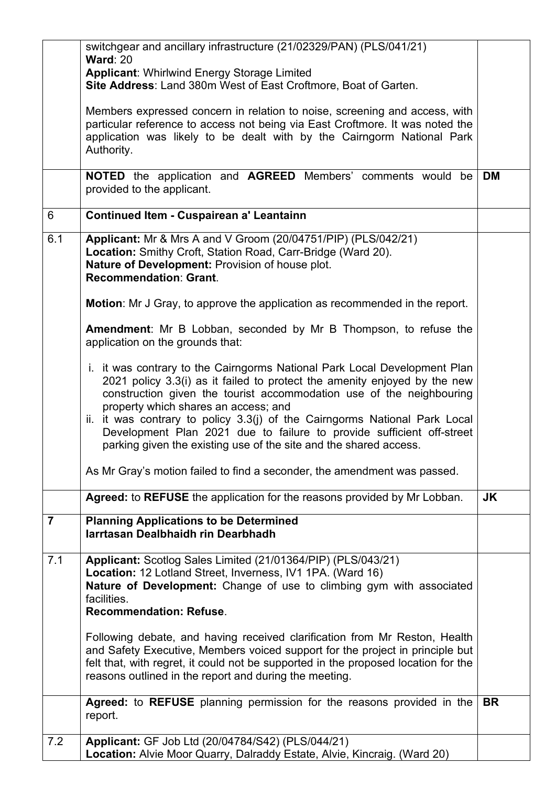|                | switchgear and ancillary infrastructure (21/02329/PAN) (PLS/041/21)                                                                                                                                                                                                                                                                                                                                                                                                                                |           |
|----------------|----------------------------------------------------------------------------------------------------------------------------------------------------------------------------------------------------------------------------------------------------------------------------------------------------------------------------------------------------------------------------------------------------------------------------------------------------------------------------------------------------|-----------|
|                | <b>Ward: 20</b><br>Applicant: Whirlwind Energy Storage Limited                                                                                                                                                                                                                                                                                                                                                                                                                                     |           |
|                | Site Address: Land 380m West of East Croftmore, Boat of Garten.                                                                                                                                                                                                                                                                                                                                                                                                                                    |           |
|                | Members expressed concern in relation to noise, screening and access, with<br>particular reference to access not being via East Croftmore. It was noted the<br>application was likely to be dealt with by the Cairngorm National Park<br>Authority.                                                                                                                                                                                                                                                |           |
|                | <b>NOTED</b> the application and <b>AGREED</b> Members' comments would be<br>provided to the applicant.                                                                                                                                                                                                                                                                                                                                                                                            | DM        |
| 6              | <b>Continued Item - Cuspairean a' Leantainn</b>                                                                                                                                                                                                                                                                                                                                                                                                                                                    |           |
| 6.1            | Applicant: Mr & Mrs A and V Groom (20/04751/PIP) (PLS/042/21)<br>Location: Smithy Croft, Station Road, Carr-Bridge (Ward 20).<br>Nature of Development: Provision of house plot.<br>Recommendation: Grant.                                                                                                                                                                                                                                                                                         |           |
|                | <b>Motion:</b> Mr J Gray, to approve the application as recommended in the report.                                                                                                                                                                                                                                                                                                                                                                                                                 |           |
|                | <b>Amendment:</b> Mr B Lobban, seconded by Mr B Thompson, to refuse the<br>application on the grounds that:                                                                                                                                                                                                                                                                                                                                                                                        |           |
|                | i. it was contrary to the Cairngorms National Park Local Development Plan<br>2021 policy 3.3(i) as it failed to protect the amenity enjoyed by the new<br>construction given the tourist accommodation use of the neighbouring<br>property which shares an access; and<br>ii. it was contrary to policy 3.3(j) of the Cairngorms National Park Local<br>Development Plan 2021 due to failure to provide sufficient off-street<br>parking given the existing use of the site and the shared access. |           |
|                | As Mr Gray's motion failed to find a seconder, the amendment was passed.                                                                                                                                                                                                                                                                                                                                                                                                                           |           |
|                | Agreed: to REFUSE the application for the reasons provided by Mr Lobban.                                                                                                                                                                                                                                                                                                                                                                                                                           | <b>JK</b> |
| $\overline{7}$ | <b>Planning Applications to be Determined</b><br>larrtasan Dealbhaidh rin Dearbhadh                                                                                                                                                                                                                                                                                                                                                                                                                |           |
| 7.1            | Applicant: Scotlog Sales Limited (21/01364/PIP) (PLS/043/21)<br>Location: 12 Lotland Street, Inverness, IV1 1PA. (Ward 16)<br>Nature of Development: Change of use to climbing gym with associated<br>facilities.<br><b>Recommendation: Refuse.</b>                                                                                                                                                                                                                                                |           |
|                | Following debate, and having received clarification from Mr Reston, Health<br>and Safety Executive, Members voiced support for the project in principle but<br>felt that, with regret, it could not be supported in the proposed location for the<br>reasons outlined in the report and during the meeting.                                                                                                                                                                                        |           |
|                | Agreed: to REFUSE planning permission for the reasons provided in the<br>report.                                                                                                                                                                                                                                                                                                                                                                                                                   | <b>BR</b> |
| 7.2            | Applicant: GF Job Ltd (20/04784/S42) (PLS/044/21)                                                                                                                                                                                                                                                                                                                                                                                                                                                  |           |
|                | Location: Alvie Moor Quarry, Dalraddy Estate, Alvie, Kincraig. (Ward 20)                                                                                                                                                                                                                                                                                                                                                                                                                           |           |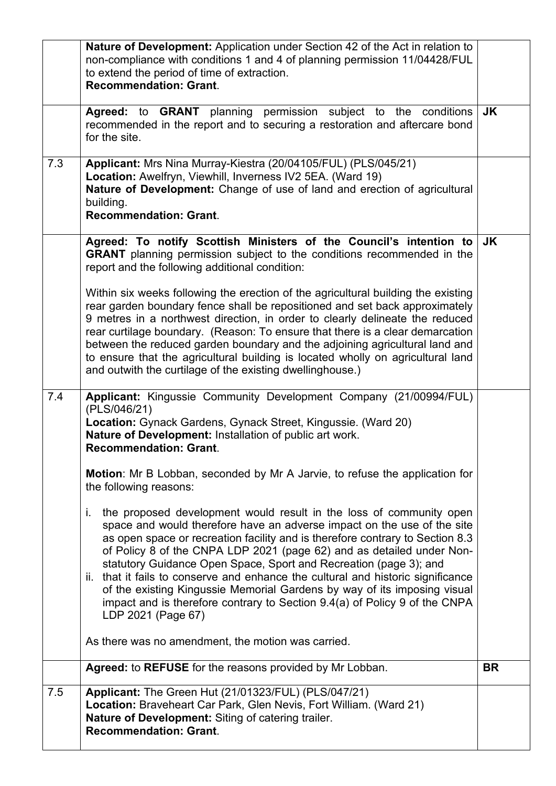|     | Nature of Development: Application under Section 42 of the Act in relation to<br>non-compliance with conditions 1 and 4 of planning permission 11/04428/FUL<br>to extend the period of time of extraction.<br><b>Recommendation: Grant.</b>                                                                                                                                                                                                                                                                                                                                                                                                             |           |
|-----|---------------------------------------------------------------------------------------------------------------------------------------------------------------------------------------------------------------------------------------------------------------------------------------------------------------------------------------------------------------------------------------------------------------------------------------------------------------------------------------------------------------------------------------------------------------------------------------------------------------------------------------------------------|-----------|
|     | Agreed: to GRANT planning permission subject to the conditions<br>recommended in the report and to securing a restoration and aftercare bond<br>for the site.                                                                                                                                                                                                                                                                                                                                                                                                                                                                                           | <b>JK</b> |
| 7.3 | Applicant: Mrs Nina Murray-Kiestra (20/04105/FUL) (PLS/045/21)<br>Location: Awelfryn, Viewhill, Inverness IV2 5EA. (Ward 19)<br>Nature of Development: Change of use of land and erection of agricultural<br>building.<br><b>Recommendation: Grant.</b>                                                                                                                                                                                                                                                                                                                                                                                                 |           |
|     | Agreed: To notify Scottish Ministers of the Council's intention to<br>GRANT planning permission subject to the conditions recommended in the<br>report and the following additional condition:                                                                                                                                                                                                                                                                                                                                                                                                                                                          | JK        |
|     | Within six weeks following the erection of the agricultural building the existing<br>rear garden boundary fence shall be repositioned and set back approximately<br>9 metres in a northwest direction, in order to clearly delineate the reduced<br>rear curtilage boundary. (Reason: To ensure that there is a clear demarcation<br>between the reduced garden boundary and the adjoining agricultural land and<br>to ensure that the agricultural building is located wholly on agricultural land<br>and outwith the curtilage of the existing dwellinghouse.)                                                                                        |           |
| 7.4 | Applicant: Kingussie Community Development Company (21/00994/FUL)<br>(PLS/046/21)<br>Location: Gynack Gardens, Gynack Street, Kingussie. (Ward 20)<br>Nature of Development: Installation of public art work.<br><b>Recommendation: Grant.</b>                                                                                                                                                                                                                                                                                                                                                                                                          |           |
|     | <b>Motion:</b> Mr B Lobban, seconded by Mr A Jarvie, to refuse the application for<br>the following reasons:                                                                                                                                                                                                                                                                                                                                                                                                                                                                                                                                            |           |
|     | the proposed development would result in the loss of community open<br>T.<br>space and would therefore have an adverse impact on the use of the site<br>as open space or recreation facility and is therefore contrary to Section 8.3<br>of Policy 8 of the CNPA LDP 2021 (page 62) and as detailed under Non-<br>statutory Guidance Open Space, Sport and Recreation (page 3); and<br>ii. that it fails to conserve and enhance the cultural and historic significance<br>of the existing Kingussie Memorial Gardens by way of its imposing visual<br>impact and is therefore contrary to Section 9.4(a) of Policy 9 of the CNPA<br>LDP 2021 (Page 67) |           |
|     | As there was no amendment, the motion was carried.                                                                                                                                                                                                                                                                                                                                                                                                                                                                                                                                                                                                      |           |
|     | Agreed: to REFUSE for the reasons provided by Mr Lobban.                                                                                                                                                                                                                                                                                                                                                                                                                                                                                                                                                                                                | <b>BR</b> |
| 7.5 | <b>Applicant:</b> The Green Hut (21/01323/FUL) (PLS/047/21)<br>Location: Braveheart Car Park, Glen Nevis, Fort William. (Ward 21)<br>Nature of Development: Siting of catering trailer.<br><b>Recommendation: Grant.</b>                                                                                                                                                                                                                                                                                                                                                                                                                                |           |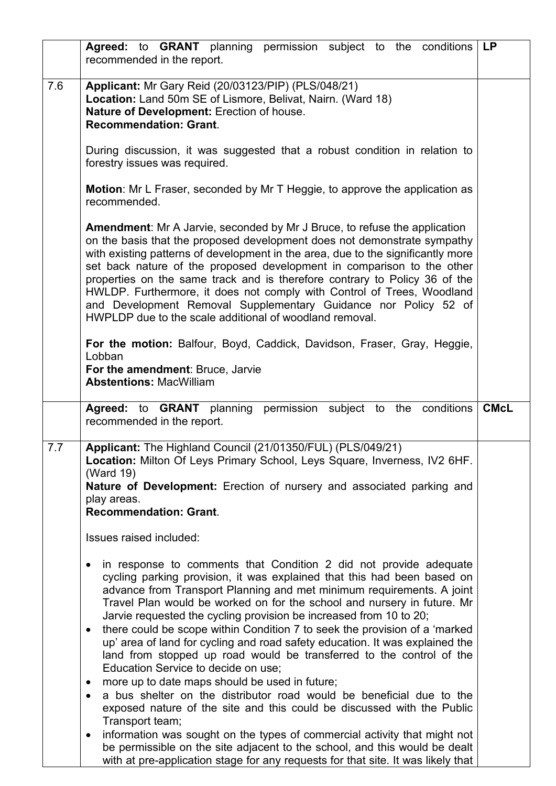|     | Agreed: to GRANT planning permission subject to the conditions<br>recommended in the report.                                                                                                                                                                                                                                                                                                                                                                                                                                                                                                                                                                     | <b>LP</b>   |
|-----|------------------------------------------------------------------------------------------------------------------------------------------------------------------------------------------------------------------------------------------------------------------------------------------------------------------------------------------------------------------------------------------------------------------------------------------------------------------------------------------------------------------------------------------------------------------------------------------------------------------------------------------------------------------|-------------|
| 7.6 | Applicant: Mr Gary Reid (20/03123/PIP) (PLS/048/21)<br>Location: Land 50m SE of Lismore, Belivat, Nairn. (Ward 18)<br>Nature of Development: Erection of house.<br><b>Recommendation: Grant.</b>                                                                                                                                                                                                                                                                                                                                                                                                                                                                 |             |
|     | During discussion, it was suggested that a robust condition in relation to<br>forestry issues was required.                                                                                                                                                                                                                                                                                                                                                                                                                                                                                                                                                      |             |
|     | <b>Motion:</b> Mr L Fraser, seconded by Mr T Heggie, to approve the application as<br>recommended.                                                                                                                                                                                                                                                                                                                                                                                                                                                                                                                                                               |             |
|     | Amendment: Mr A Jarvie, seconded by Mr J Bruce, to refuse the application<br>on the basis that the proposed development does not demonstrate sympathy<br>with existing patterns of development in the area, due to the significantly more<br>set back nature of the proposed development in comparison to the other<br>properties on the same track and is therefore contrary to Policy 36 of the<br>HWLDP. Furthermore, it does not comply with Control of Trees, Woodland<br>and Development Removal Supplementary Guidance nor Policy 52 of<br>HWPLDP due to the scale additional of woodland removal.                                                        |             |
|     | For the motion: Balfour, Boyd, Caddick, Davidson, Fraser, Gray, Heggie,<br>Lobban<br>For the amendment: Bruce, Jarvie<br><b>Abstentions: MacWilliam</b>                                                                                                                                                                                                                                                                                                                                                                                                                                                                                                          |             |
|     | Agreed: to GRANT planning permission subject to the conditions<br>recommended in the report.                                                                                                                                                                                                                                                                                                                                                                                                                                                                                                                                                                     | <b>CMcL</b> |
| 7.7 | Applicant: The Highland Council (21/01350/FUL) (PLS/049/21)<br>Location: Milton Of Leys Primary School, Leys Square, Inverness, IV2 6HF.<br>(Ward 19)<br>Nature of Development: Erection of nursery and associated parking and<br>play areas.<br><b>Recommendation: Grant.</b>                                                                                                                                                                                                                                                                                                                                                                                   |             |
|     | Issues raised included:                                                                                                                                                                                                                                                                                                                                                                                                                                                                                                                                                                                                                                          |             |
|     | in response to comments that Condition 2 did not provide adequate<br>cycling parking provision, it was explained that this had been based on<br>advance from Transport Planning and met minimum requirements. A joint<br>Travel Plan would be worked on for the school and nursery in future. Mr<br>Jarvie requested the cycling provision be increased from 10 to 20;<br>there could be scope within Condition 7 to seek the provision of a 'marked<br>$\bullet$<br>up' area of land for cycling and road safety education. It was explained the<br>land from stopped up road would be transferred to the control of the<br>Education Service to decide on use; |             |
|     | more up to date maps should be used in future;<br>a bus shelter on the distributor road would be beneficial due to the                                                                                                                                                                                                                                                                                                                                                                                                                                                                                                                                           |             |
|     | exposed nature of the site and this could be discussed with the Public<br>Transport team;<br>information was sought on the types of commercial activity that might not<br>٠<br>be permissible on the site adjacent to the school, and this would be dealt<br>with at pre-application stage for any requests for that site. It was likely that                                                                                                                                                                                                                                                                                                                    |             |